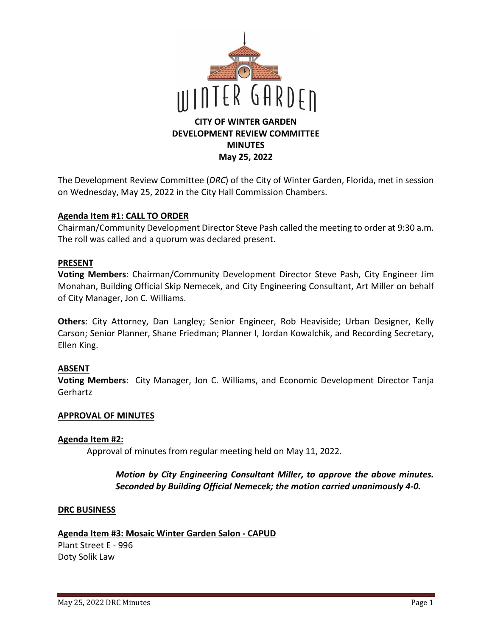

The Development Review Committee (*DRC*) of the City of Winter Garden, Florida, met in session on Wednesday, May 25, 2022 in the City Hall Commission Chambers.

#### **Agenda Item #1: CALL TO ORDER**

Chairman/Community Development Director Steve Pash called the meeting to order at 9:30 a.m. The roll was called and a quorum was declared present.

#### **PRESENT**

**Voting Members**: Chairman/Community Development Director Steve Pash, City Engineer Jim Monahan, Building Official Skip Nemecek, and City Engineering Consultant, Art Miller on behalf of City Manager, Jon C. Williams.

**Others**: City Attorney, Dan Langley; Senior Engineer, Rob Heaviside; Urban Designer, Kelly Carson; Senior Planner, Shane Friedman; Planner I, Jordan Kowalchik, and Recording Secretary, Ellen King.

## **ABSENT**

**Voting Members**: City Manager, Jon C. Williams, and Economic Development Director Tanja Gerhartz

#### **APPROVAL OF MINUTES**

#### **Agenda Item #2:**

Approval of minutes from regular meeting held on May 11, 2022.

## *Motion by City Engineering Consultant Miller, to approve the above minutes. Seconded by Building Official Nemecek; the motion carried unanimously 4-0.*

#### **DRC BUSINESS**

#### **Agenda Item #3: Mosaic Winter Garden Salon - CAPUD**

Plant Street E - 996 Doty Solik Law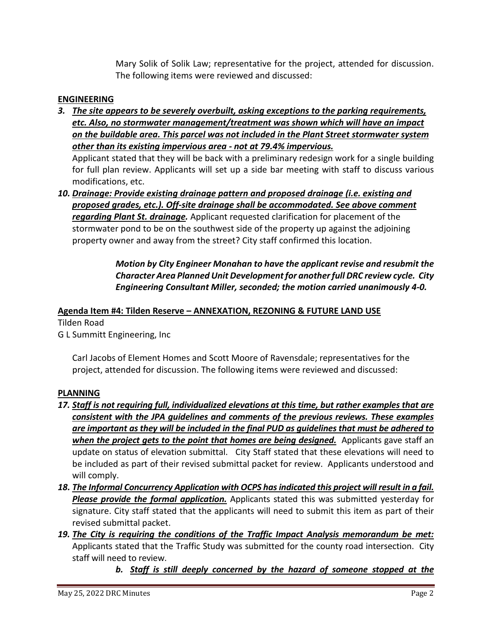Mary Solik of Solik Law; representative for the project, attended for discussion. The following items were reviewed and discussed:

## **ENGINEERING**

*3. The site appears to be severely overbuilt, asking exceptions to the parking requirements, etc. Also, no stormwater management/treatment was shown which will have an impact on the buildable area. This parcel was not included in the Plant Street stormwater system other than its existing impervious area - not at 79.4% impervious.* 

Applicant stated that they will be back with a preliminary redesign work for a single building for full plan review. Applicants will set up a side bar meeting with staff to discuss various modifications, etc.

*10. Drainage: Provide existing drainage pattern and proposed drainage (i.e. existing and proposed grades, etc.). Off-site drainage shall be accommodated. See above comment regarding Plant St. drainage.* Applicant requested clarification for placement of the stormwater pond to be on the southwest side of the property up against the adjoining property owner and away from the street? City staff confirmed this location.

> *Motion by City Engineer Monahan to have the applicant revise and resubmit the Character Area Planned Unit Development for another full DRC review cycle. City Engineering Consultant Miller, seconded; the motion carried unanimously 4-0.*

## **Agenda Item #4: Tilden Reserve – ANNEXATION, REZONING & FUTURE LAND USE**

Tilden Road

G L Summitt Engineering, Inc

Carl Jacobs of Element Homes and Scott Moore of Ravensdale; representatives for the project, attended for discussion. The following items were reviewed and discussed:

## **PLANNING**

- *17. Staff is not requiring full, individualized elevations at this time, but rather examples that are consistent with the JPA guidelines and comments of the previous reviews. These examples are important as they will be included in the final PUD as guidelines that must be adhered to when the project gets to the point that homes are being designed.* **Applicants gave staff an** update on status of elevation submittal. City Staff stated that these elevations will need to be included as part of their revised submittal packet for review. Applicants understood and will comply.
- *18. The Informal Concurrency Application with OCPS has indicated this project will result in a fail. Please provide the formal application.* Applicants stated this was submitted yesterday for signature. City staff stated that the applicants will need to submit this item as part of their revised submittal packet.
- *19. The City is requiring the conditions of the Traffic Impact Analysis memorandum be met:*  Applicants stated that the Traffic Study was submitted for the county road intersection. City staff will need to review.
	- *b. Staff is still deeply concerned by the hazard of someone stopped at the*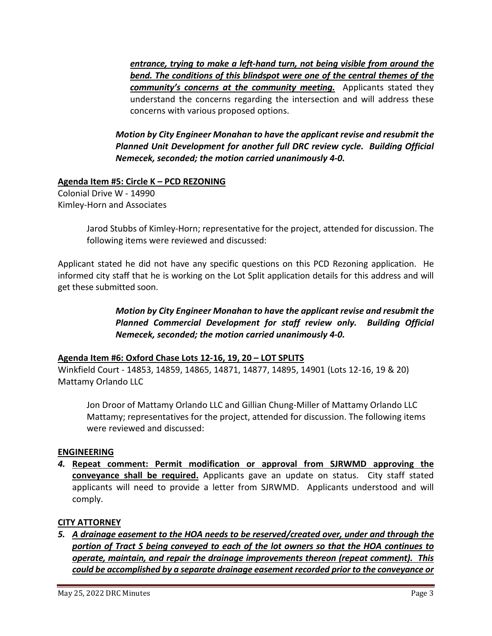*entrance, trying to make a left-hand turn, not being visible from around the bend. The conditions of this blindspot were one of the central themes of the community's concerns at the community meeting.* Applicants stated they understand the concerns regarding the intersection and will address these concerns with various proposed options.

*Motion by City Engineer Monahan to have the applicant revise and resubmit the Planned Unit Development for another full DRC review cycle. Building Official Nemecek, seconded; the motion carried unanimously 4-0.* 

## **Agenda Item #5: Circle K – PCD REZONING**

Colonial Drive W - 14990 Kimley-Horn and Associates

> Jarod Stubbs of Kimley-Horn; representative for the project, attended for discussion. The following items were reviewed and discussed:

Applicant stated he did not have any specific questions on this PCD Rezoning application. He informed city staff that he is working on the Lot Split application details for this address and will get these submitted soon.

> *Motion by City Engineer Monahan to have the applicant revise and resubmit the Planned Commercial Development for staff review only. Building Official Nemecek, seconded; the motion carried unanimously 4-0.*

## **Agenda Item #6: Oxford Chase Lots 12-16, 19, 20 – LOT SPLITS**

Winkfield Court - 14853, 14859, 14865, 14871, 14877, 14895, 14901 (Lots 12-16, 19 & 20) Mattamy Orlando LLC

Jon Droor of Mattamy Orlando LLC and Gillian Chung-Miller of Mattamy Orlando LLC Mattamy; representatives for the project, attended for discussion. The following items were reviewed and discussed:

## **ENGINEERING**

*4.* **Repeat comment: Permit modification or approval from SJRWMD approving the conveyance shall be required.** Applicants gave an update on status. City staff stated applicants will need to provide a letter from SJRWMD. Applicants understood and will comply.

## **CITY ATTORNEY**

*5. A drainage easement to the HOA needs to be reserved/created over, under and through the portion of Tract S being conveyed to each of the lot owners so that the HOA continues to operate, maintain, and repair the drainage improvements thereon (repeat comment). This could be accomplished by a separate drainage easement recorded prior to the conveyance or*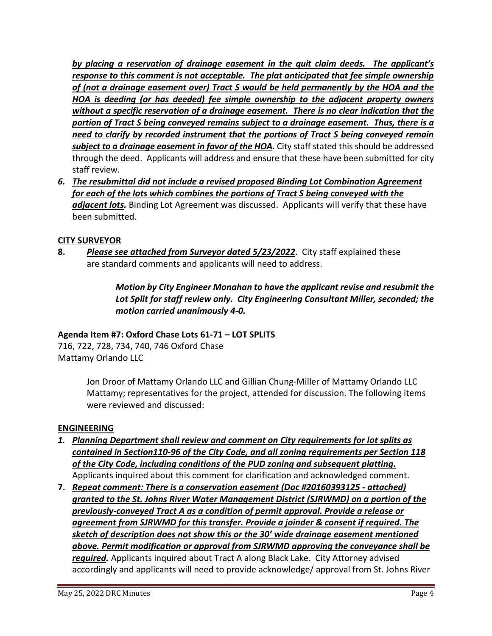*by placing a reservation of drainage easement in the quit claim deeds. The applicant's response to this comment is not acceptable. The plat anticipated that fee simple ownership of (not a drainage easement over) Tract S would be held permanently by the HOA and the HOA is deeding (or has deeded) fee simple ownership to the adjacent property owners without a specific reservation of a drainage easement. There is no clear indication that the portion of Tract S being conveyed remains subject to a drainage easement. Thus, there is a need to clarify by recorded instrument that the portions of Tract S being conveyed remain subject to a drainage easement in favor of the HOA.* City staff stated this should be addressed through the deed. Applicants will address and ensure that these have been submitted for city staff review.

*6. The resubmittal did not include a revised proposed Binding Lot Combination Agreement for each of the lots which combines the portions of Tract S being conveyed with the adjacent lots.* Binding Lot Agreement was discussed. Applicants will verify that these have been submitted.

# **CITY SURVEYOR**

**8.** *Please see attached from Surveyor dated 5/23/2022*. City staff explained these are standard comments and applicants will need to address.

> *Motion by City Engineer Monahan to have the applicant revise and resubmit the Lot Split for staff review only. City Engineering Consultant Miller, seconded; the motion carried unanimously 4-0.*

## **Agenda Item #7: Oxford Chase Lots 61-71 – LOT SPLITS**

716, 722, 728, 734, 740, 746 Oxford Chase Mattamy Orlando LLC

> Jon Droor of Mattamy Orlando LLC and Gillian Chung-Miller of Mattamy Orlando LLC Mattamy; representatives for the project, attended for discussion. The following items were reviewed and discussed:

## **ENGINEERING**

- *1. Planning Department shall review and comment on City requirements for lot splits as contained in Section110-96 of the City Code, and all zoning requirements per Section 118 of the City Code, including conditions of the PUD zoning and subsequent platting.*  Applicants inquired about this comment for clarification and acknowledged comment.
- **7.** *Repeat comment: There is a conservation easement (Doc #20160393125 - attached) granted to the St. Johns River Water Management District (SJRWMD) on a portion of the previously-conveyed Tract A as a condition of permit approval. Provide a release or agreement from SJRWMD for this transfer. Provide a joinder & consent if required. The sketch of description does not show this or the 30' wide drainage easement mentioned above. Permit modification or approval from SJRWMD approving the conveyance shall be required.* Applicants inquired about Tract A along Black Lake. City Attorney advised accordingly and applicants will need to provide acknowledge/ approval from St. Johns River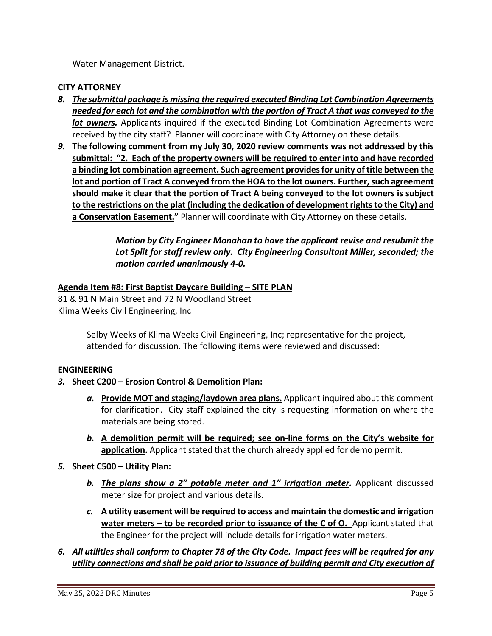Water Management District.

#### **CITY ATTORNEY**

- *8. The submittal package is missing the required executed Binding Lot Combination Agreements needed for each lot and the combination with the portion of Tract A that was conveyed to the lot owners*. Applicants inquired if the executed Binding Lot Combination Agreements were received by the city staff? Planner will coordinate with City Attorney on these details.
- *9.* **The following comment from my July 30, 2020 review comments was not addressed by this submittal: "2. Each of the property owners will be required to enter into and have recorded a binding lot combination agreement. Such agreement provides for unity of title between the lot and portion of Tract A conveyed from the HOA to the lot owners. Further, such agreement should make it clear that the portion of Tract A being conveyed to the lot owners is subject to the restrictions on the plat (including the dedication of development rights to the City) and a Conservation Easement."** Planner will coordinate with City Attorney on these details.

## *Motion by City Engineer Monahan to have the applicant revise and resubmit the Lot Split for staff review only. City Engineering Consultant Miller, seconded; the motion carried unanimously 4-0.*

## **Agenda Item #8: First Baptist Daycare Building – SITE PLAN**

81 & 91 N Main Street and 72 N Woodland Street Klima Weeks Civil Engineering, Inc

> Selby Weeks of Klima Weeks Civil Engineering, Inc; representative for the project, attended for discussion. The following items were reviewed and discussed:

#### **ENGINEERING**

#### *3.* **Sheet C200 – Erosion Control & Demolition Plan:**

- *a.* **Provide MOT and staging/laydown area plans.** Applicant inquired about this comment for clarification. City staff explained the city is requesting information on where the materials are being stored.
- *b.* **A demolition permit will be required; see on-line forms on the City's website for application.** Applicant stated that the church already applied for demo permit.
- *5.* **Sheet C500 Utility Plan:** 
	- **b.** The plans show a 2" potable meter and 1" irrigation meter. Applicant discussed meter size for project and various details.
	- *c.* **A utility easement will be required to access and maintain the domestic and irrigation water meters – to be recorded prior to issuance of the C of O.** Applicant stated that the Engineer for the project will include details for irrigation water meters.

## *6. All utilities shall conform to Chapter 78 of the City Code. Impact fees will be required for any utility connections and shall be paid prior to issuance of building permit and City execution of*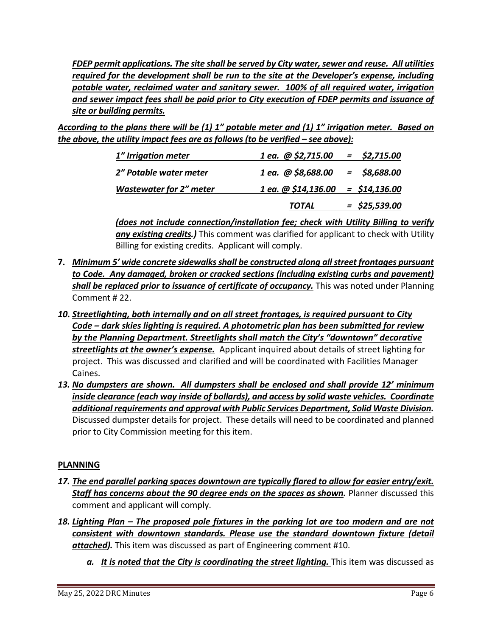*FDEP permit applications. The site shall be served by City water, sewer and reuse. All utilities required for the development shall be run to the site at the Developer's expense, including potable water, reclaimed water and sanitary sewer. 100% of all required water, irrigation and sewer impact fees shall be paid prior to City execution of FDEP permits and issuance of site or building permits.* 

*According to the plans there will be (1) 1" potable meter and (1) 1" irrigation meter. Based on the above, the utility impact fees are as follows (to be verified – see above):* 

| 1" Irrigation meter            | 1 ea. $\omega$ \$2,715.00 = \$2,715.00     |               |
|--------------------------------|--------------------------------------------|---------------|
| 2" Potable water meter         | $1$ ea. @ \$8,688.00 = \$8,688.00          |               |
| <b>Wastewater for 2" meter</b> | $1$ ea. $\omega$ \$14,136.00 = \$14,136.00 |               |
|                                | <b>TOTAL</b>                               | = \$25,539.00 |

*(does not include connection/installation fee; check with Utility Billing to verify any existing credits.)* This comment was clarified for applicant to check with Utility Billing for existing credits. Applicant will comply.

- **7.** *Minimum 5' wide concrete sidewalks shall be constructed along all street frontages pursuant to Code. Any damaged, broken or cracked sections (including existing curbs and pavement)*  **shall be replaced prior to issuance of certificate of occupancy.** This was noted under Planning Comment # 22.
- *10. Streetlighting, both internally and on all street frontages, is required pursuant to City Code – dark skies lighting is required. A photometric plan has been submitted for review by the Planning Department. Streetlights shall match the City's "downtown" decorative streetlights at the owner's expense.* Applicant inquired about details of street lighting for project. This was discussed and clarified and will be coordinated with Facilities Manager Caines.
- *13. No dumpsters are shown. All dumpsters shall be enclosed and shall provide 12' minimum inside clearance (each way inside of bollards), and access by solid waste vehicles. Coordinate additional requirements and approval with Public Services Department, Solid Waste Division.*  Discussed dumpster details for project. These details will need to be coordinated and planned prior to City Commission meeting for this item.

## **PLANNING**

- *17. The end parallel parking spaces downtown are typically flared to allow for easier entry/exit.*  **Staff has concerns about the 90 degree ends on the spaces as shown.** Planner discussed this comment and applicant will comply.
- *18. Lighting Plan The proposed pole fixtures in the parking lot are too modern and are not consistent with downtown standards. Please use the standard downtown fixture (detail attached).* This item was discussed as part of Engineering comment #10.
	- *a.* It is noted that the City is coordinating the street lighting. This item was discussed as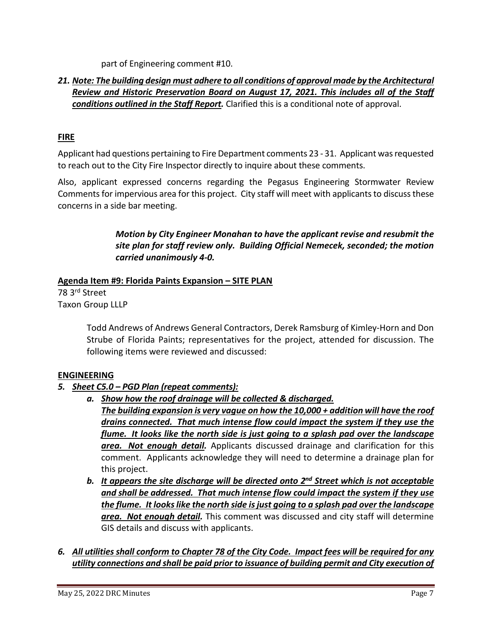part of Engineering comment #10.

## *21. Note: The building design must adhere to all conditions of approval made by the Architectural Review and Historic Preservation Board on August 17, 2021. This includes all of the Staff conditions outlined in the Staff Report.* Clarified this is a conditional note of approval.

## **FIRE**

Applicant had questions pertaining to Fire Department comments 23 - 31. Applicant was requested to reach out to the City Fire Inspector directly to inquire about these comments.

Also, applicant expressed concerns regarding the Pegasus Engineering Stormwater Review Comments for impervious area for this project. City staff will meet with applicants to discuss these concerns in a side bar meeting.

> *Motion by City Engineer Monahan to have the applicant revise and resubmit the site plan for staff review only. Building Official Nemecek, seconded; the motion carried unanimously 4-0.*

## **Agenda Item #9: Florida Paints Expansion – SITE PLAN**

78 3rd Street Taxon Group LLLP

> Todd Andrews of Andrews General Contractors, Derek Ramsburg of Kimley-Horn and Don Strube of Florida Paints; representatives for the project, attended for discussion. The following items were reviewed and discussed:

# **ENGINEERING**

# *5. Sheet C5.0 – PGD Plan (repeat comments):*

*a. Show how the roof drainage will be collected & discharged.* 

*The building expansion is very vague on how the 10,000 + addition will have the roof drains connected. That much intense flow could impact the system if they use the flume. It looks like the north side is just going to a splash pad over the landscape area. Not enough detail.* Applicants discussed drainage and clarification for this comment. Applicants acknowledge they will need to determine a drainage plan for this project.

*b. It appears the site discharge will be directed onto 2nd Street which is not acceptable and shall be addressed. That much intense flow could impact the system if they use the flume. It looks like the north side is just going to a splash pad over the landscape area. Not enough detail.* This comment was discussed and city staff will determine GIS details and discuss with applicants.

## *6. All utilities shall conform to Chapter 78 of the City Code. Impact fees will be required for any utility connections and shall be paid prior to issuance of building permit and City execution of*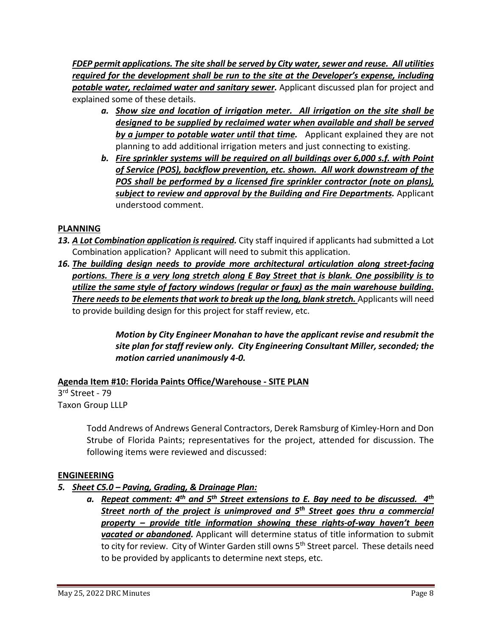*FDEP permit applications. The site shall be served by City water, sewer and reuse. All utilities required for the development shall be run to the site at the Developer's expense, including potable water, reclaimed water and sanitary sewer.* Applicant discussed plan for project and explained some of these details.

- *a. Show size and location of irrigation meter. All irrigation on the site shall be designed to be supplied by reclaimed water when available and shall be served by a jumper to potable water until that time.* Applicant explained they are not planning to add additional irrigation meters and just connecting to existing.
- *b. Fire sprinkler systems will be required on all buildings over 6,000 s.f. with Point of Service (POS), backflow prevention, etc. shown. All work downstream of the POS shall be performed by a licensed fire sprinkler contractor (note on plans), subject to review and approval by the Building and Fire Departments.* Applicant understood comment.

# **PLANNING**

- 13. A Lot Combination application is required. City staff inquired if applicants had submitted a Lot Combination application? Applicant will need to submit this application.
- *16. The building design needs to provide more architectural articulation along street-facing portions. There is a very long stretch along E Bay Street that is blank. One possibility is to utilize the same style of factory windows (regular or faux) as the main warehouse building.*  **There needs to be elements that work to break up the long, blank stretch.** Applicants will need to provide building design for this project for staff review, etc.

*Motion by City Engineer Monahan to have the applicant revise and resubmit the site plan for staff review only. City Engineering Consultant Miller, seconded; the motion carried unanimously 4-0.* 

# **Agenda Item #10: Florida Paints Office/Warehouse - SITE PLAN**

3rd Street - 79 Taxon Group LLLP

> Todd Andrews of Andrews General Contractors, Derek Ramsburg of Kimley-Horn and Don Strube of Florida Paints; representatives for the project, attended for discussion. The following items were reviewed and discussed:

## **ENGINEERING**

# *5. Sheet C5.0 – Paving, Grading, & Drainage Plan:*

*a. Repeat comment: 4th and 5th Street extensions to E. Bay need to be discussed. 4th Street north of the project is unimproved and 5th Street goes thru a commercial property – provide title information showing these rights-of-way haven't been vacated or abandoned.* Applicant will determine status of title information to submit to city for review. City of Winter Garden still owns 5<sup>th</sup> Street parcel. These details need to be provided by applicants to determine next steps, etc.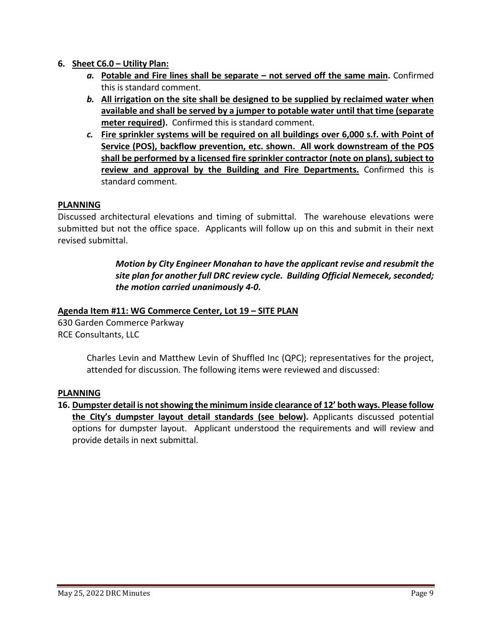## **6. Sheet C6.0 – Utility Plan:**

- *a.* **Potable and Fire lines shall be separate not served off the same main.** Confirmed this is standard comment.
- *b.* **All irrigation on the site shall be designed to be supplied by reclaimed water when available and shall be served by a jumper to potable water until that time (separate meter required).** Confirmed this is standard comment.
- *c.* **Fire sprinkler systems will be required on all buildings over 6,000 s.f. with Point of Service (POS), backflow prevention, etc. shown. All work downstream of the POS shall be performed by a licensed fire sprinkler contractor (note on plans), subject to review and approval by the Building and Fire Departments.** Confirmed this is standard comment.

#### **PLANNING**

Discussed architectural elevations and timing of submittal. The warehouse elevations were submitted but not the office space. Applicants will follow up on this and submit in their next revised submittal.

> *Motion by City Engineer Monahan to have the applicant revise and resubmit the site plan for another full DRC review cycle. Building Official Nemecek, seconded; the motion carried unanimously 4-0.*

#### **Agenda Item #11: WG Commerce Center, Lot 19 – SITE PLAN**

630 Garden Commerce Parkway RCE Consultants, LLC

> Charles Levin and Matthew Levin of Shuffled Inc (QPC); representatives for the project, attended for discussion. The following items were reviewed and discussed:

#### **PLANNING**

**16. Dumpster detail is not showing the minimum inside clearance of 12' both ways. Please follow the City's dumpster layout detail standards (see below).** Applicants discussed potential options for dumpster layout. Applicant understood the requirements and will review and provide details in next submittal.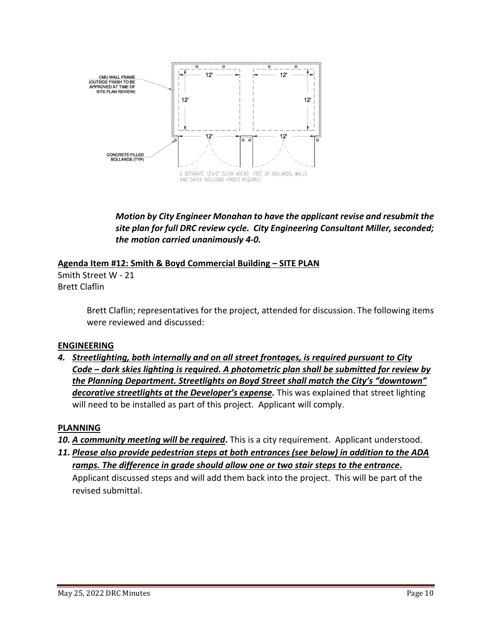

*Motion by City Engineer Monahan to have the applicant revise and resubmit the site plan for full DRC review cycle. City Engineering Consultant Miller, seconded; the motion carried unanimously 4-0.* 

## **Agenda Item #12: Smith & Boyd Commercial Building – SITE PLAN**

Smith Street W - 21 Brett Claflin

> Brett Claflin; representatives for the project, attended for discussion. The following items were reviewed and discussed:

# **ENGINEERING**

*4. Streetlighting, both internally and on all street frontages, is required pursuant to City Code – dark skies lighting is required. A photometric plan shall be submitted for review by the Planning Department. Streetlights on Boyd Street shall match the City's "downtown" decorative streetlights at the Developer's expense.* This was explained that street lighting will need to be installed as part of this project. Applicant will comply.

# **PLANNING**

- *10. A community meeting will be required***.** This is a city requirement. Applicant understood.
- *11. Please also provide pedestrian steps at both entrances (see below) in addition to the ADA ramps. The difference in grade should allow one or two stair steps to the entrance***.**

Applicant discussed steps and will add them back into the project. This will be part of the revised submittal.